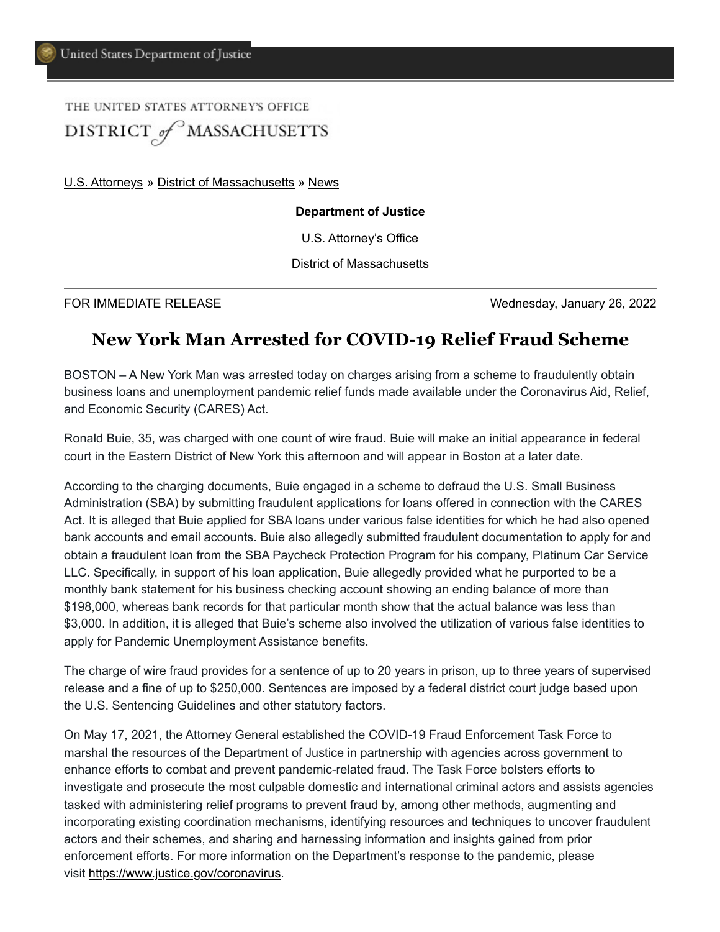## THE UNITED STATES ATTORNEYS OFFICE DISTRICT of MASSACHUSETTS

[U.S. Attorneys](https://www.justice.gov/usao) » [District of Massachusetts](https://www.justice.gov/usao-ma) » [News](https://www.justice.gov/usao-ma/pr)

## **Department of Justice**

U.S. Attorney's Office

District of Massachusetts

FOR IMMEDIATE RELEASE Wednesday, January 26, 2022

## **New York Man Arrested for COVID-19 Relief Fraud Scheme**

BOSTON – A New York Man was arrested today on charges arising from a scheme to fraudulently obtain business loans and unemployment pandemic relief funds made available under the Coronavirus Aid, Relief, and Economic Security (CARES) Act.

Ronald Buie, 35, was charged with one count of wire fraud. Buie will make an initial appearance in federal court in the Eastern District of New York this afternoon and will appear in Boston at a later date.

According to the charging documents, Buie engaged in a scheme to defraud the U.S. Small Business Administration (SBA) by submitting fraudulent applications for loans offered in connection with the CARES Act. It is alleged that Buie applied for SBA loans under various false identities for which he had also opened bank accounts and email accounts. Buie also allegedly submitted fraudulent documentation to apply for and obtain a fraudulent loan from the SBA Paycheck Protection Program for his company, Platinum Car Service LLC. Specifically, in support of his loan application, Buie allegedly provided what he purported to be a monthly bank statement for his business checking account showing an ending balance of more than \$198,000, whereas bank records for that particular month show that the actual balance was less than \$3,000. In addition, it is alleged that Buie's scheme also involved the utilization of various false identities to apply for Pandemic Unemployment Assistance benefits.

The charge of wire fraud provides for a sentence of up to 20 years in prison, up to three years of supervised release and a fine of up to \$250,000. Sentences are imposed by a federal district court judge based upon the U.S. Sentencing Guidelines and other statutory factors.

On May 17, 2021, the Attorney General established the COVID-19 Fraud Enforcement Task Force to marshal the resources of the Department of Justice in partnership with agencies across government to enhance efforts to combat and prevent pandemic-related fraud. The Task Force bolsters efforts to investigate and prosecute the most culpable domestic and international criminal actors and assists agencies tasked with administering relief programs to prevent fraud by, among other methods, augmenting and incorporating existing coordination mechanisms, identifying resources and techniques to uncover fraudulent actors and their schemes, and sharing and harnessing information and insights gained from prior enforcement efforts. For more information on the Department's response to the pandemic, please visit [https://www.justice.gov/coronavirus.](https://www.justice.gov/coronavirus)